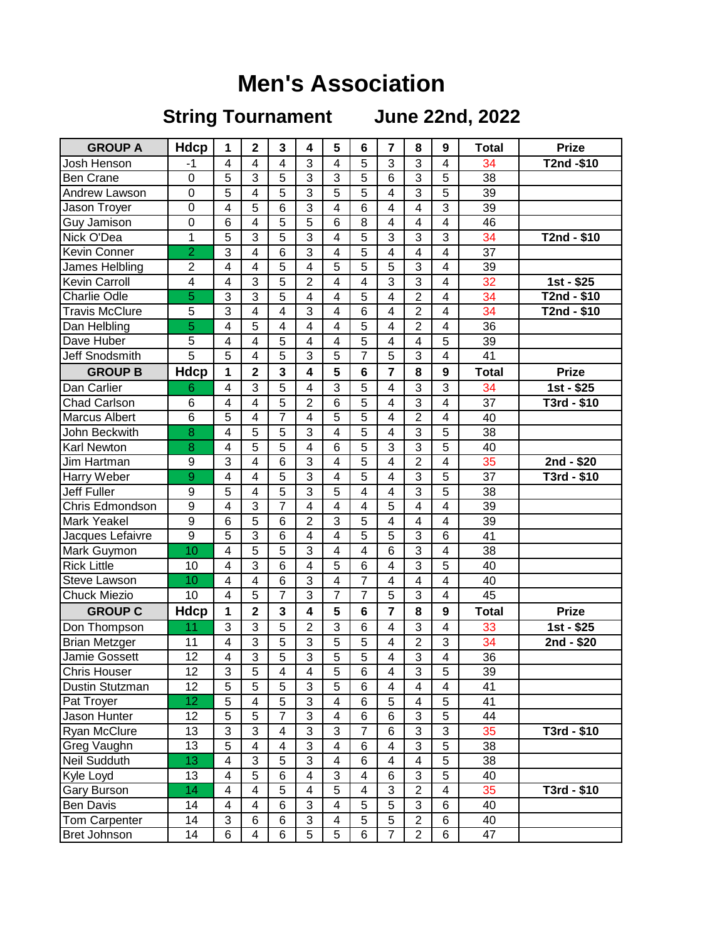## **Men's Association**

## **String Tournament June 22nd, 2022**

| <b>GROUP A</b>        | <b>Hdcp</b>      | 1                         | $\mathbf 2$             | 3                       | 4                        | 5                       | 6                       | 7                       | 8              | 9                       | <b>Total</b> | <b>Prize</b> |
|-----------------------|------------------|---------------------------|-------------------------|-------------------------|--------------------------|-------------------------|-------------------------|-------------------------|----------------|-------------------------|--------------|--------------|
| Josh Henson           | $-1$             | 4                         | $\overline{4}$          | $\overline{4}$          | 3                        | 4                       | 5                       | $\overline{3}$          | 3              | $\overline{4}$          | 34           | T2nd -\$10   |
| <b>Ben Crane</b>      | $\mathbf 0$      | 5                         | 3                       | 5                       | 3                        | 3                       | 5                       | $\overline{6}$          | $\overline{3}$ | 5                       | 38           |              |
| Andrew Lawson         | 0                | 5                         | $\overline{\mathbf{4}}$ | 5                       | $\overline{3}$           | 5                       | 5                       | $\overline{4}$          | 3              | $\overline{5}$          | 39           |              |
| Jason Troyer          | 0                | 4                         | $\overline{5}$          | 6                       | 3                        | 4                       | $6\phantom{1}6$         | $\overline{\mathbf{4}}$ | 4              | 3                       | 39           |              |
| Guy Jamison           | 0                | 6                         | $\overline{4}$          | 5                       | $\overline{5}$           | 6                       | 8                       | $\overline{\mathbf{4}}$ | 4              | $\overline{4}$          | 46           |              |
| Nick O'Dea            | 1                | 5                         | 3                       | 5                       | 3                        | $\overline{4}$          | $\overline{5}$          | 3                       | 3              | 3                       | 34           | T2nd - \$10  |
| Kevin Conner          | $\overline{2}$   | 3                         | $\overline{4}$          | 6                       | 3                        | $\overline{4}$          | $\overline{5}$          | $\overline{4}$          | $\overline{4}$ | $\overline{4}$          | 37           |              |
| James Helbling        | $\overline{2}$   | $\overline{\mathbf{4}}$   | $\overline{\mathbf{4}}$ | 5                       | $\overline{4}$           | 5                       | 5                       | 5                       | 3              | $\overline{4}$          | 39           |              |
| <b>Kevin Carroll</b>  | $\overline{4}$   | 4                         | 3                       | 5                       | $\overline{2}$           | $\overline{4}$          | $\overline{4}$          | 3                       | 3              | 4                       | 32           | $1st - $25$  |
| <b>Charlie Odle</b>   | 5                | 3                         | $\overline{3}$          | 5                       | $\overline{4}$           | 4                       | $\overline{5}$          | 4                       | $\overline{2}$ | $\overline{\mathbf{4}}$ | 34           | T2nd - \$10  |
| <b>Travis McClure</b> | 5                | $\overline{3}$            | $\overline{\mathbf{4}}$ | 4                       | $\overline{3}$           | 4                       | $\overline{6}$          | $\overline{4}$          | $\overline{2}$ | $\overline{\mathbf{4}}$ | 34           | T2nd - \$10  |
| Dan Helbling          | 5                | 4                         | 5                       | 4                       | $\overline{4}$           | 4                       | 5                       | 4                       | $\overline{2}$ | $\overline{4}$          | 36           |              |
| Dave Huber            | 5                | 4                         | $\overline{4}$          | 5                       | $\overline{4}$           | 4                       | 5                       | 4                       | 4              | 5                       | 39           |              |
| Jeff Snodsmith        | $\overline{5}$   | 5                         | $\overline{\mathbf{4}}$ | 5                       | 3                        | 5                       | 7                       | 5                       | 3              | $\overline{\mathbf{4}}$ | 41           |              |
| <b>GROUP B</b>        | <b>Hdcp</b>      | 1                         | $\overline{2}$          | 3                       | $\boldsymbol{4}$         | 5                       | $6\phantom{1}$          | $\overline{7}$          | 8              | 9                       | <b>Total</b> | <b>Prize</b> |
| Dan Carlier           | 6                | $\overline{\mathbf{4}}$   | 3                       | 5                       | $\overline{4}$           | 3                       | 5                       | $\overline{4}$          | 3              | 3                       | 34           | 1st - $$25$  |
| <b>Chad Carlson</b>   | 6                | 4                         | $\overline{4}$          | $\overline{5}$          | $\overline{2}$           | 6                       | $\overline{5}$          | 4                       | $\overline{3}$ | $\overline{4}$          | 37           | $T3rd - $10$ |
| <b>Marcus Albert</b>  | $\overline{6}$   | 5                         | $\overline{\mathbf{4}}$ | $\overline{7}$          | $\overline{4}$           | $\overline{5}$          | $\overline{5}$          | 4                       | $\overline{2}$ | $\overline{\mathbf{4}}$ | 40           |              |
| John Beckwith         | 8                | 4                         | $\overline{5}$          | 5                       | $\overline{3}$           | 4                       | $\overline{5}$          | $\overline{\mathbf{4}}$ | $\overline{3}$ | $\overline{5}$          | 38           |              |
| Karl Newton           | 8                | 4                         | $\overline{5}$          | 5                       | 4                        | 6                       | 5                       | 3                       | 3              | 5                       | 40           |              |
| Jim Hartman           | 9                | 3                         | 4                       | 6                       | 3                        | 4                       | $\overline{5}$          | $\overline{4}$          | $\overline{2}$ | $\overline{4}$          | 35           | 2nd - \$20   |
| Harry Weber           | 9                | 4                         | $\overline{4}$          | 5                       | $\overline{3}$           | $\overline{4}$          | 5                       | $\overline{4}$          | 3              | 5                       | 37           | T3rd - \$10  |
| Jeff Fuller           | 9                | 5                         | $\overline{4}$          | 5                       | 3                        | 5                       | $\overline{4}$          | 4                       | 3              | 5                       | 38           |              |
| Chris Edmondson       | $\boldsymbol{9}$ | 4                         | 3                       | $\overline{7}$          | $\overline{4}$           | 4                       | $\overline{4}$          | 5                       | 4              | 4                       | 39           |              |
| Mark Yeakel           | $\overline{9}$   | 6                         | $\overline{5}$          | $6\phantom{1}6$         | $\overline{2}$           | 3                       | 5                       | $\overline{\mathbf{4}}$ | 4              | $\overline{4}$          | 39           |              |
| Jacques Lefaivre      | $\boldsymbol{9}$ | 5                         | 3                       | 6                       | $\overline{4}$           | $\overline{4}$          | $\overline{5}$          | $\overline{5}$          | 3              | $6\phantom{1}6$         | 41           |              |
| Mark Guymon           | 10               | 4                         | $\overline{5}$          | 5                       | 3                        | $\overline{4}$          | 4                       | 6                       | $\overline{3}$ | $\overline{4}$          | 38           |              |
| <b>Rick Little</b>    | 10               | $\overline{\mathbf{4}}$   | $\overline{3}$          | 6                       | $\overline{4}$           | 5                       | $6\phantom{1}$          | 4                       | 3              | $\overline{5}$          | 40           |              |
| <b>Steve Lawson</b>   | 10               | 4                         | $\overline{\mathbf{4}}$ | 6                       | 3                        | 4                       | $\overline{7}$          | 4                       | $\overline{4}$ | $\overline{\mathbf{4}}$ | 40           |              |
| Chuck Miezio          | 10               | 4                         | 5                       | $\overline{7}$          | 3                        | 7                       | 7                       | 5                       | 3              | 4                       | 45           |              |
| <b>GROUP C</b>        | <b>Hdcp</b>      | 1                         | $\overline{\mathbf{2}}$ | 3                       | 4                        | 5                       | 6                       | $\overline{\mathbf{r}}$ | 8              | 9                       | <b>Total</b> | <b>Prize</b> |
| Don Thompson          | 11               | 3                         | 3                       | 5                       | $\overline{2}$           | 3                       | $6\phantom{1}6$         | $\overline{4}$          | 3              | $\overline{4}$          | 33           | 1st - \$25   |
| <b>Brian Metzger</b>  | 11               | 4                         | $\overline{3}$          | $\overline{5}$          | 3                        | $\overline{5}$          | $\overline{5}$          | $\overline{4}$          | $\overline{2}$ | $\overline{3}$          | 34           | $2nd - $20$  |
| Jamie Gossett         | $\overline{12}$  | $\overline{\mathbf{4}}$   | $\overline{3}$          | $\overline{5}$          | $\overline{3}$           | $\overline{5}$          | $\overline{5}$          | 4                       | 3              | $\overline{\mathbf{4}}$ | 36           |              |
| Chris Houser          | 12               | $\overline{3}$            | $\overline{5}$          | $\overline{\mathbf{4}}$ | $\overline{4}$           | $\overline{5}$          | $\overline{6}$          | 4                       | $\overline{3}$ | $\overline{5}$          | 39           |              |
| Dustin Stutzman       | 12               | $\overline{5}$            | $\overline{5}$          | 5                       | 3                        | 5                       | 6                       | $\overline{4}$          | $\overline{4}$ | $\overline{4}$          | 41           |              |
| Pat Troyer            | 12               | 5                         | 4                       | 5                       | 3                        | 4                       | 6                       | 5                       | 4              | 5                       | 41           |              |
| Jason Hunter          | 12               | 5                         | 5                       | $\overline{7}$          | $\overline{3}$           | 4                       | 6                       | 6                       | 3              | 5                       | 44           |              |
| Ryan McClure          | 13               | $\overline{3}$            | $\overline{3}$          | 4                       | $\overline{3}$           | 3                       | 7                       | 6                       | 3              | $\overline{3}$          | 35           | T3rd - \$10  |
| Greg Vaughn           | 13               | 5                         | $\overline{4}$          | 4                       | $\overline{3}$           | 4                       | 6                       | 4                       | 3              | 5                       | 38           |              |
| <b>Neil Sudduth</b>   | 13               | 4                         | 3                       | 5                       | 3                        | 4                       | $\,6$                   | 4                       | 4              | 5                       | 38           |              |
| Kyle Loyd             | 13               | 4                         | $\overline{5}$          | 6                       | $\overline{\mathcal{A}}$ | 3                       | $\overline{\mathbf{4}}$ | 6                       | 3              | 5                       | 40           |              |
| Gary Burson           | 14               | 4                         | 4                       | 5                       | $\overline{\mathbf{4}}$  | 5                       | 4                       | 3                       | $\overline{2}$ | 4                       | 35           | T3rd - \$10  |
| <b>Ben Davis</b>      | 14               | 4                         | 4                       | 6                       | 3                        | 4                       | 5                       | 5                       | 3              | 6                       | 40           |              |
| Tom Carpenter         | 14               | $\ensuremath{\mathsf{3}}$ | 6                       | 6                       | 3                        | $\overline{\mathbf{4}}$ | 5                       | 5                       | $\overline{2}$ | 6                       | 40           |              |
| Bret Johnson          | 14               | 6                         | 4                       | 6                       | 5                        | 5                       | 6                       | $\overline{7}$          | $\overline{2}$ | 6                       | 47           |              |